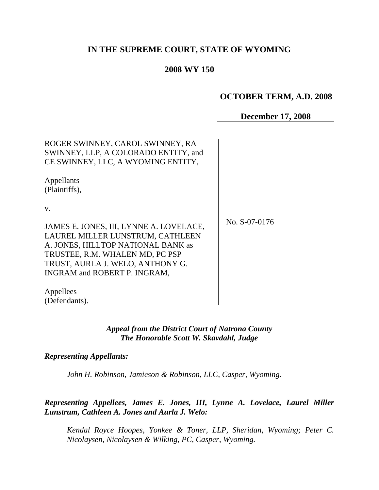# **IN THE SUPREME COURT, STATE OF WYOMING**

## **2008 WY 150**

## **OCTOBER TERM, A.D. 2008**

# **December 17, 2008**

| ROGER SWINNEY, CAROL SWINNEY, RA<br>SWINNEY, LLP, A COLORADO ENTITY, and<br>CE SWINNEY, LLC, A WYOMING ENTITY, |               |
|----------------------------------------------------------------------------------------------------------------|---------------|
| Appellants<br>(Plaintiffs),                                                                                    |               |
| V.                                                                                                             | No. S-07-0176 |
| JAMES E. JONES, III, LYNNE A. LOVELACE,                                                                        |               |
| LAUREL MILLER LUNSTRUM, CATHLEEN<br>A. JONES, HILLTOP NATIONAL BANK as                                         |               |
| TRUSTEE, R.M. WHALEN MD, PC PSP                                                                                |               |
| TRUST, AURLA J. WELO, ANTHONY G.                                                                               |               |
| INGRAM and ROBERT P. INGRAM,                                                                                   |               |
| Appellees                                                                                                      |               |
| (Defendants).                                                                                                  |               |

#### *Appeal from the District Court of Natrona County The Honorable Scott W. Skavdahl, Judge*

#### *Representing Appellants:*

*John H. Robinson, Jamieson & Robinson, LLC, Casper, Wyoming.*

*Representing Appellees, James E. Jones, III, Lynne A. Lovelace, Laurel Miller Lunstrum, Cathleen A. Jones and Aurla J. Welo:*

*Kendal Royce Hoopes, Yonkee & Toner, LLP, Sheridan, Wyoming; Peter C. Nicolaysen, Nicolaysen & Wilking, PC, Casper, Wyoming.*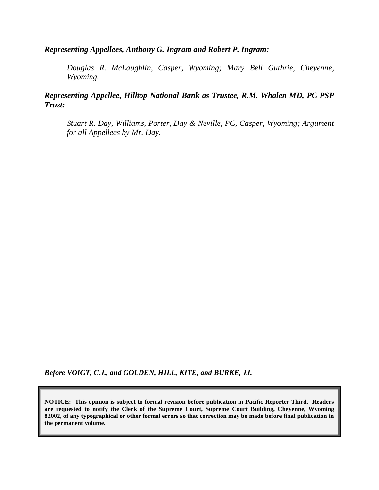## *Representing Appellees, Anthony G. Ingram and Robert P. Ingram:*

*Douglas R. McLaughlin, Casper, Wyoming; Mary Bell Guthrie, Cheyenne, Wyoming.*

*Representing Appellee, Hilltop National Bank as Trustee, R.M. Whalen MD, PC PSP Trust:*

*Stuart R. Day, Williams, Porter, Day & Neville, PC, Casper, Wyoming; Argument for all Appellees by Mr. Day.*

*Before VOIGT, C.J., and GOLDEN, HILL, KITE, and BURKE, JJ.*

**NOTICE: This opinion is subject to formal revision before publication in Pacific Reporter Third. Readers are requested to notify the Clerk of the Supreme Court, Supreme Court Building, Cheyenne, Wyoming 82002, of any typographical or other formal errors so that correction may be made before final publication in the permanent volume.**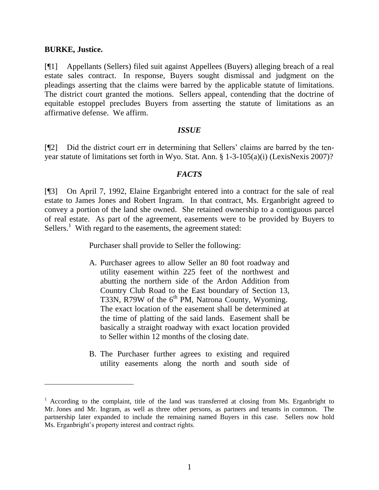#### **BURKE, Justice.**

 $\overline{a}$ 

[¶1] Appellants (Sellers) filed suit against Appellees (Buyers) alleging breach of a real estate sales contract. In response, Buyers sought dismissal and judgment on the pleadings asserting that the claims were barred by the applicable statute of limitations. The district court granted the motions. Sellers appeal, contending that the doctrine of equitable estoppel precludes Buyers from asserting the statute of limitations as an affirmative defense. We affirm.

#### *ISSUE*

[¶2] Did the district court err in determining that Sellers' claims are barred by the tenyear statute of limitations set forth in Wyo. Stat. Ann. § 1-3-105(a)(i) (LexisNexis 2007)?

#### *FACTS*

[¶3] On April 7, 1992, Elaine Erganbright entered into a contract for the sale of real estate to James Jones and Robert Ingram. In that contract, Ms. Erganbright agreed to convey a portion of the land she owned. She retained ownership to a contiguous parcel of real estate. As part of the agreement, easements were to be provided by Buyers to Sellers.<sup>1</sup> With regard to the easements, the agreement stated:

Purchaser shall provide to Seller the following:

- A. Purchaser agrees to allow Seller an 80 foot roadway and utility easement within 225 feet of the northwest and abutting the northern side of the Ardon Addition from Country Club Road to the East boundary of Section 13, T33N,  $R79W$  of the  $6<sup>th</sup>$  PM, Natrona County, Wyoming. The exact location of the easement shall be determined at the time of platting of the said lands. Easement shall be basically a straight roadway with exact location provided to Seller within 12 months of the closing date.
- B. The Purchaser further agrees to existing and required utility easements along the north and south side of

 $1$  According to the complaint, title of the land was transferred at closing from Ms. Erganbright to Mr. Jones and Mr. Ingram, as well as three other persons, as partners and tenants in common. The partnership later expanded to include the remaining named Buyers in this case. Sellers now hold Ms. Erganbright's property interest and contract rights.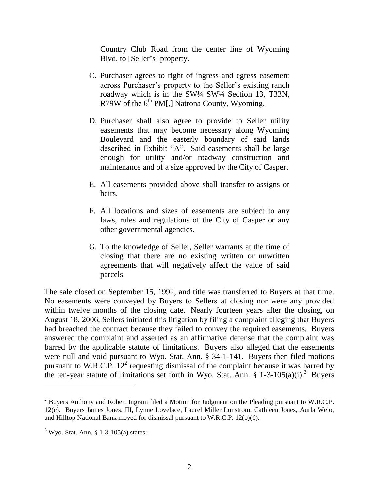Country Club Road from the center line of Wyoming Blvd. to [Seller's] property.

- C. Purchaser agrees to right of ingress and egress easement across Purchaser's property to the Seller's existing ranch roadway which is in the SW¼ SW¼ Section 13, T33N, R79W of the  $6<sup>th</sup> PM[$ , Natrona County, Wyoming.
- D. Purchaser shall also agree to provide to Seller utility easements that may become necessary along Wyoming Boulevard and the easterly boundary of said lands described in Exhibit "A". Said easements shall be large enough for utility and/or roadway construction and maintenance and of a size approved by the City of Casper.
- E. All easements provided above shall transfer to assigns or heirs.
- F. All locations and sizes of easements are subject to any laws, rules and regulations of the City of Casper or any other governmental agencies.
- G. To the knowledge of Seller, Seller warrants at the time of closing that there are no existing written or unwritten agreements that will negatively affect the value of said parcels.

The sale closed on September 15, 1992, and title was transferred to Buyers at that time. No easements were conveyed by Buyers to Sellers at closing nor were any provided within twelve months of the closing date. Nearly fourteen years after the closing, on August 18, 2006, Sellers initiated this litigation by filing a complaint alleging that Buyers had breached the contract because they failed to convey the required easements. Buyers answered the complaint and asserted as an affirmative defense that the complaint was barred by the applicable statute of limitations. Buyers also alleged that the easements were null and void pursuant to Wyo. Stat. Ann. § 34-1-141. Buyers then filed motions pursuant to W.R.C.P.  $12^2$  requesting dismissal of the complaint because it was barred by the ten-year statute of limitations set forth in Wyo. Stat. Ann.  $\S$  1-3-105(a)(i).<sup>3</sup> Buyers

<sup>&</sup>lt;sup>2</sup> Buvers Anthony and Robert Ingram filed a Motion for Judgment on the Pleading pursuant to W.R.C.P. 12(c). Buyers James Jones, III, Lynne Lovelace, Laurel Miller Lunstrom, Cathleen Jones, Aurla Welo, and Hilltop National Bank moved for dismissal pursuant to W.R.C.P. 12(b)(6).

 $3$  Wyo. Stat. Ann. § 1-3-105(a) states: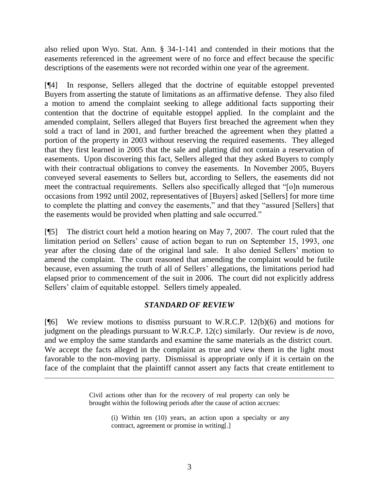also relied upon Wyo. Stat. Ann. § 34-1-141 and contended in their motions that the easements referenced in the agreement were of no force and effect because the specific descriptions of the easements were not recorded within one year of the agreement.

[¶4] In response, Sellers alleged that the doctrine of equitable estoppel prevented Buyers from asserting the statute of limitations as an affirmative defense. They also filed a motion to amend the complaint seeking to allege additional facts supporting their contention that the doctrine of equitable estoppel applied. In the complaint and the amended complaint, Sellers alleged that Buyers first breached the agreement when they sold a tract of land in 2001, and further breached the agreement when they platted a portion of the property in 2003 without reserving the required easements. They alleged that they first learned in 2005 that the sale and platting did not contain a reservation of easements. Upon discovering this fact, Sellers alleged that they asked Buyers to comply with their contractual obligations to convey the easements. In November 2005, Buyers conveyed several easements to Sellers but, according to Sellers, the easements did not meet the contractual requirements. Sellers also specifically alleged that "[o]n numerous occasions from 1992 until 2002, representatives of [Buyers] asked [Sellers] for more time to complete the platting and convey the easements," and that they "assured [Sellers] that the easements would be provided when platting and sale occurred."

[¶5] The district court held a motion hearing on May 7, 2007. The court ruled that the limitation period on Sellers' cause of action began to run on September 15, 1993, one year after the closing date of the original land sale. It also denied Sellers' motion to amend the complaint. The court reasoned that amending the complaint would be futile because, even assuming the truth of all of Sellers' allegations, the limitations period had elapsed prior to commencement of the suit in 2006. The court did not explicitly address Sellers' claim of equitable estoppel. Sellers timely appealed.

## *STANDARD OF REVIEW*

 $[$ [ $|$ 6] We review motions to dismiss pursuant to W.R.C.P. 12(b)(6) and motions for judgment on the pleadings pursuant to W.R.C.P. 12(c) similarly. Our review is *de novo*, and we employ the same standards and examine the same materials as the district court. We accept the facts alleged in the complaint as true and view them in the light most favorable to the non-moving party. Dismissal is appropriate only if it is certain on the face of the complaint that the plaintiff cannot assert any facts that create entitlement to

> Civil actions other than for the recovery of real property can only be brought within the following periods after the cause of action accrues:

(i) Within ten (10) years, an action upon a specialty or any contract, agreement or promise in writing[.]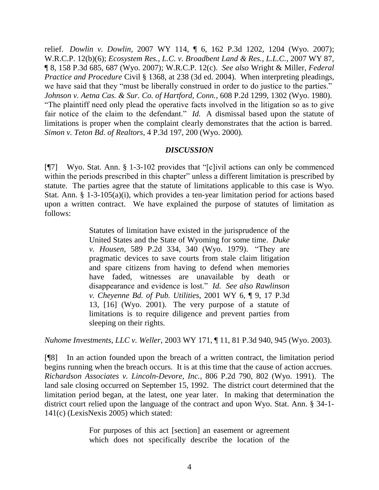relief. *Dowlin v. Dowlin*, 2007 WY 114, ¶ 6, 162 P.3d 1202, 1204 (Wyo. 2007); W.R.C.P. 12(b)(6); *Ecosystem Res., L.C. v. Broadbent Land & Res., L.L.C.*, 2007 WY 87, ¶ 8, 158 P.3d 685, 687 (Wyo. 2007); W.R.C.P. 12(c). *See also* Wright & Miller, *Federal Practice and Procedure* Civil § 1368, at 238 (3d ed. 2004). When interpreting pleadings, we have said that they "must be liberally construed in order to do justice to the parties." *Johnson v. Aetna Cas. & Sur. Co. of Hartford, Conn.*, 608 P.2d 1299, 1302 (Wyo. 1980). "The plaintiff need only plead the operative facts involved in the litigation so as to give fair notice of the claim to the defendant." *Id.* A dismissal based upon the statute of limitations is proper when the complaint clearly demonstrates that the action is barred. *Simon v. Teton Bd. of Realtors*, 4 P.3d 197, 200 (Wyo. 2000).

### *DISCUSSION*

[¶7] Wyo. Stat. Ann. § 1-3-102 provides that "[c]ivil actions can only be commenced within the periods prescribed in this chapter" unless a different limitation is prescribed by statute. The parties agree that the statute of limitations applicable to this case is Wyo. Stat. Ann. § 1-3-105(a)(i), which provides a ten-year limitation period for actions based upon a written contract. We have explained the purpose of statutes of limitation as follows:

> Statutes of limitation have existed in the jurisprudence of the United States and the State of Wyoming for some time. *Duke v. Housen*, 589 P.2d 334, 340 (Wyo. 1979). "They are pragmatic devices to save courts from stale claim litigation and spare citizens from having to defend when memories have faded, witnesses are unavailable by death or disappearance and evidence is lost." *Id. See also Rawlinson v. Cheyenne Bd. of Pub. Utilities*, 2001 WY 6, ¶ 9, 17 P.3d 13, [16] (Wyo. 2001). The very purpose of a statute of limitations is to require diligence and prevent parties from sleeping on their rights.

*Nuhome Investments, LLC v. Weller*, 2003 WY 171, ¶ 11, 81 P.3d 940, 945 (Wyo. 2003).

[¶8] In an action founded upon the breach of a written contract, the limitation period begins running when the breach occurs. It is at this time that the cause of action accrues. *Richardson Associates v. Lincoln-Devore, Inc.*, 806 P.2d 790, 802 (Wyo. 1991). The land sale closing occurred on September 15, 1992. The district court determined that the limitation period began, at the latest, one year later. In making that determination the district court relied upon the language of the contract and upon Wyo. Stat. Ann. § 34-1- 141(c) (LexisNexis 2005) which stated:

> For purposes of this act [section] an easement or agreement which does not specifically describe the location of the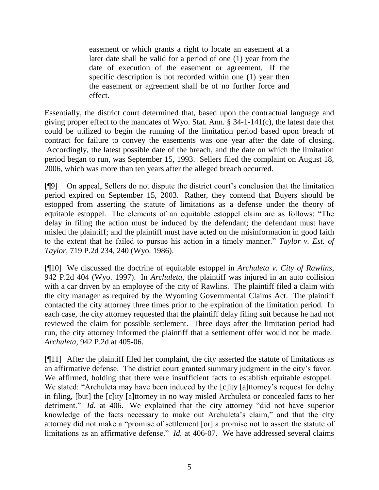easement or which grants a right to locate an easement at a later date shall be valid for a period of one (1) year from the date of execution of the easement or agreement. If the specific description is not recorded within one (1) year then the easement or agreement shall be of no further force and effect.

Essentially, the district court determined that, based upon the contractual language and giving proper effect to the mandates of Wyo. Stat. Ann. § 34-1-141(c), the latest date that could be utilized to begin the running of the limitation period based upon breach of contract for failure to convey the easements was one year after the date of closing. Accordingly, the latest possible date of the breach, and the date on which the limitation period began to run, was September 15, 1993. Sellers filed the complaint on August 18, 2006, which was more than ten years after the alleged breach occurred.

[¶9] On appeal, Sellers do not dispute the district court's conclusion that the limitation period expired on September 15, 2003. Rather, they contend that Buyers should be estopped from asserting the statute of limitations as a defense under the theory of equitable estoppel. The elements of an equitable estoppel claim are as follows: "The delay in filing the action must be induced by the defendant; the defendant must have misled the plaintiff; and the plaintiff must have acted on the misinformation in good faith to the extent that he failed to pursue his action in a timely manner." *Taylor v. Est. of Taylor*, 719 P.2d 234, 240 (Wyo. 1986).

[¶10] We discussed the doctrine of equitable estoppel in *Archuleta v. City of Rawlins*, 942 P.2d 404 (Wyo. 1997). In *Archuleta*, the plaintiff was injured in an auto collision with a car driven by an employee of the city of Rawlins. The plaintiff filed a claim with the city manager as required by the Wyoming Governmental Claims Act. The plaintiff contacted the city attorney three times prior to the expiration of the limitation period. In each case, the city attorney requested that the plaintiff delay filing suit because he had not reviewed the claim for possible settlement. Three days after the limitation period had run, the city attorney informed the plaintiff that a settlement offer would not be made. *Archuleta*, 942 P.2d at 405-06.

[¶11] After the plaintiff filed her complaint, the city asserted the statute of limitations as an affirmative defense. The district court granted summary judgment in the city's favor. We affirmed, holding that there were insufficient facts to establish equitable estoppel. We stated: "Archuleta may have been induced by the [c]ity [a]ttorney's request for delay in filing, [but] the [c]ity [a]ttorney in no way misled Archuleta or concealed facts to her detriment." *Id.* at 406. We explained that the city attorney "did not have superior knowledge of the facts necessary to make out Archuleta's claim," and that the city attorney did not make a "promise of settlement [or] a promise not to assert the statute of limitations as an affirmative defense." *Id.* at 406-07. We have addressed several claims